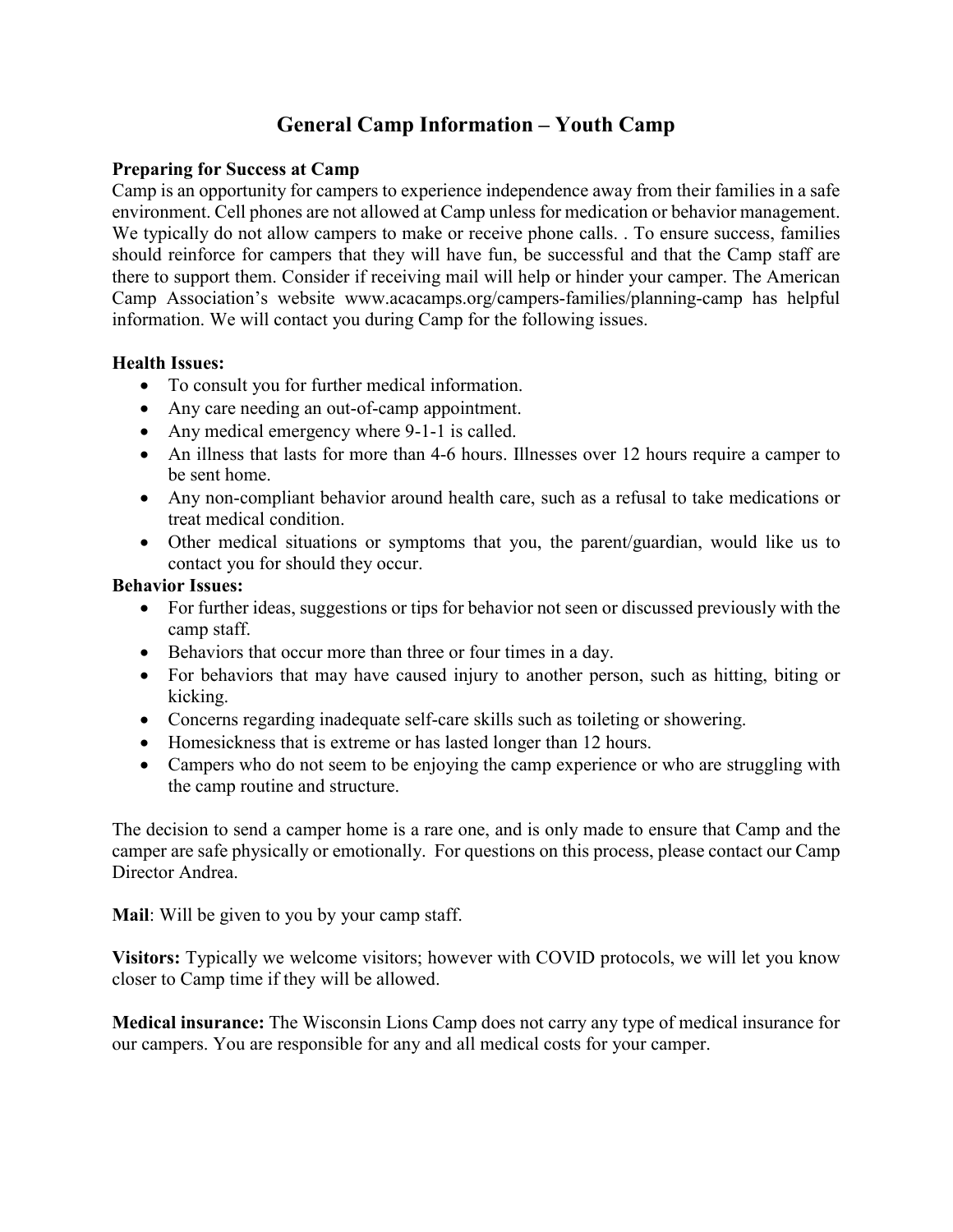## **General Camp Information – Youth Camp**

### **Preparing for Success at Camp**

Camp is an opportunity for campers to experience independence away from their families in a safe environment. Cell phones are not allowed at Camp unless for medication or behavior management. We typically do not allow campers to make or receive phone calls. . To ensure success, families should reinforce for campers that they will have fun, be successful and that the Camp staff are there to support them. Consider if receiving mail will help or hinder your camper. The American Camp Association's website www.acacamps.org/campers-families/planning-camp has helpful information. We will contact you during Camp for the following issues.

### **Health Issues:**

- To consult you for further medical information.
- Any care needing an out-of-camp appointment.
- Any medical emergency where 9-1-1 is called.
- An illness that lasts for more than 4-6 hours. Illnesses over 12 hours require a camper to be sent home.
- Any non-compliant behavior around health care, such as a refusal to take medications or treat medical condition.
- Other medical situations or symptoms that you, the parent/guardian, would like us to contact you for should they occur.

### **Behavior Issues:**

- For further ideas, suggestions or tips for behavior not seen or discussed previously with the camp staff.
- Behaviors that occur more than three or four times in a day.
- For behaviors that may have caused injury to another person, such as hitting, biting or kicking.
- Concerns regarding inadequate self-care skills such as toileting or showering.
- Homesickness that is extreme or has lasted longer than 12 hours.
- Campers who do not seem to be enjoying the camp experience or who are struggling with the camp routine and structure.

The decision to send a camper home is a rare one, and is only made to ensure that Camp and the camper are safe physically or emotionally. For questions on this process, please contact our Camp Director Andrea.

**Mail**: Will be given to you by your camp staff.

**Visitors:** Typically we welcome visitors; however with COVID protocols, we will let you know closer to Camp time if they will be allowed.

**Medical insurance:** The Wisconsin Lions Camp does not carry any type of medical insurance for our campers. You are responsible for any and all medical costs for your camper.